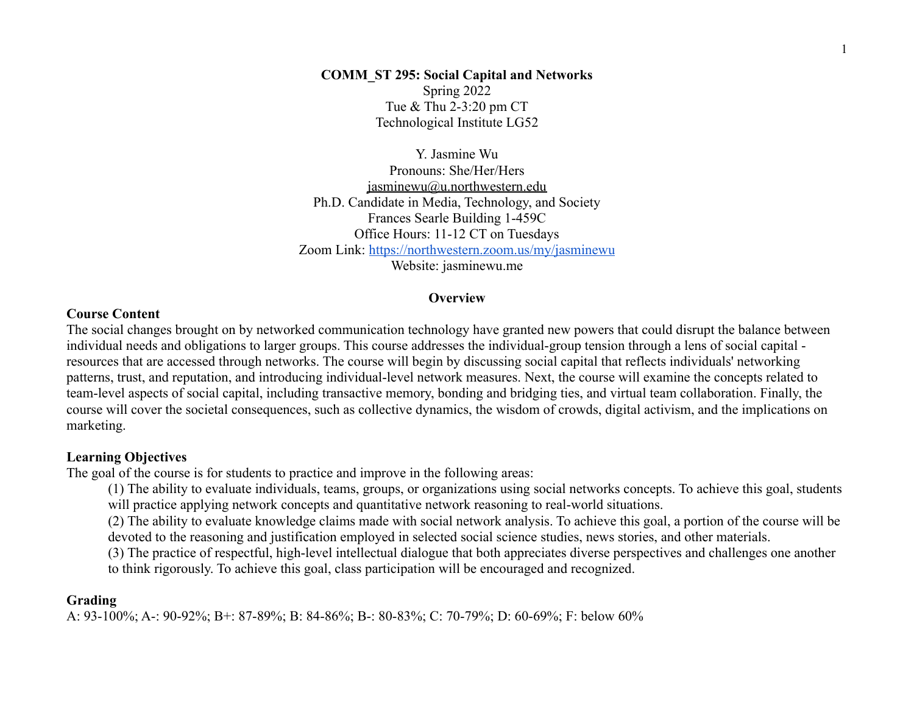**COMM\_ST 295: Social Capital and Networks** Spring 2022 Tue & Thu 2-3:20 pm CT Technological Institute LG52

Y. Jasmine Wu Pronouns: She/Her/Hers [jasminewu@u.northwestern.edu](mailto:jasminewu@u.northwestern.edu) Ph.D. Candidate in Media, Technology, and Society [Frances Searle Building](http://maps.northwestern.edu/facility/92) 1-459C Office Hours: 11-12 CT on Tuesdays Zoom Link: <https://northwestern.zoom.us/my/jasminewu> Website: jasminewu.me

#### **Overview**

#### **Course Content**

The social changes brought on by networked communication technology have granted new powers that could disrupt the balance between individual needs and obligations to larger groups. This course addresses the individual-group tension through a lens of social capital resources that are accessed through networks. The course will begin by discussing social capital that reflects individuals' networking patterns, trust, and reputation, and introducing individual-level network measures. Next, the course will examine the concepts related to team-level aspects of social capital, including transactive memory, bonding and bridging ties, and virtual team collaboration. Finally, the course will cover the societal consequences, such as collective dynamics, the wisdom of crowds, digital activism, and the implications on marketing.

### **Learning Objectives**

The goal of the course is for students to practice and improve in the following areas:

(1) The ability to evaluate individuals, teams, groups, or organizations using social networks concepts. To achieve this goal, students will practice applying network concepts and quantitative network reasoning to real-world situations.

(2) The ability to evaluate knowledge claims made with social network analysis. To achieve this goal, a portion of the course will be devoted to the reasoning and justification employed in selected social science studies, news stories, and other materials.

(3) The practice of respectful, high-level intellectual dialogue that both appreciates diverse perspectives and challenges one another to think rigorously. To achieve this goal, class participation will be encouraged and recognized.

#### **Grading**

A: 93-100%; A-: 90-92%; B+: 87-89%; B: 84-86%; B-: 80-83%; C: 70-79%; D: 60-69%; F: below 60%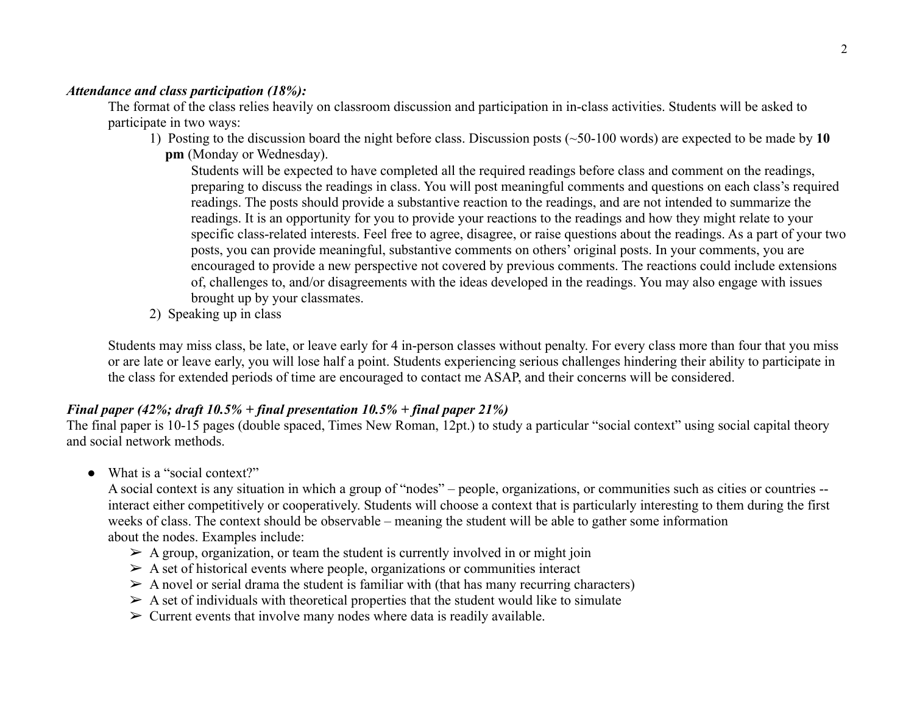# *Attendance and class participation (18%):*

The format of the class relies heavily on classroom discussion and participation in in-class activities. Students will be asked to participate in two ways:

1) Posting to the discussion board the night before class. Discussion posts (~50-100 words) are expected to be made by **10 pm** (Monday or Wednesday).

Students will be expected to have completed all the required readings before class and comment on the readings, preparing to discuss the readings in class. You will post meaningful comments and questions on each class's required readings. The posts should provide a substantive reaction to the readings, and are not intended to summarize the readings. It is an opportunity for you to provide your reactions to the readings and how they might relate to your specific class-related interests. Feel free to agree, disagree, or raise questions about the readings. As a part of your two posts, you can provide meaningful, substantive comments on others' original posts. In your comments, you are encouraged to provide a new perspective not covered by previous comments. The reactions could include extensions of, challenges to, and/or disagreements with the ideas developed in the readings. You may also engage with issues brought up by your classmates.

2) Speaking up in class

Students may miss class, be late, or leave early for 4 in-person classes without penalty. For every class more than four that you miss or are late or leave early, you will lose half a point. Students experiencing serious challenges hindering their ability to participate in the class for extended periods of time are encouraged to contact me ASAP, and their concerns will be considered.

# *Final paper (42%; draft 10.5% + final presentation 10.5% + final paper 21%)*

The final paper is 10-15 pages (double spaced, Times New Roman, 12pt.) to study a particular "social context" using social capital theory and social network methods.

• What is a "social context?"

A social context is any situation in which a group of "nodes" – people, organizations, or communities such as cities or countries - interact either competitively or cooperatively. Students will choose a context that is particularly interesting to them during the first weeks of class. The context should be observable – meaning the student will be able to gather some information about the nodes. Examples include:

- $\triangleright$  A group, organization, or team the student is currently involved in or might join
- $\triangleright$  A set of historical events where people, organizations or communities interact
- $\triangleright$  A novel or serial drama the student is familiar with (that has many recurring characters)
- $\triangleright$  A set of individuals with theoretical properties that the student would like to simulate
- $\triangleright$  Current events that involve many nodes where data is readily available.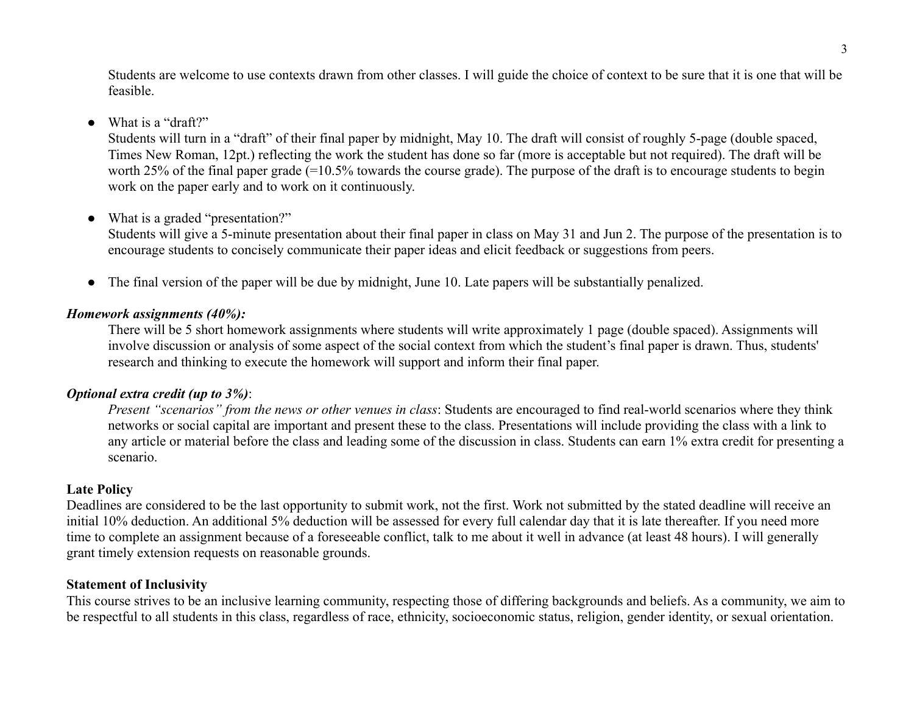Students are welcome to use contexts drawn from other classes. I will guide the choice of context to be sure that it is one that will be feasible.

## ● What is a "draft?"

Students will turn in a "draft" of their final paper by midnight, May 10. The draft will consist of roughly 5-page (double spaced, Times New Roman, 12pt.) reflecting the work the student has done so far (more is acceptable but not required). The draft will be worth 25% of the final paper grade (=10.5% towards the course grade). The purpose of the draft is to encourage students to begin work on the paper early and to work on it continuously.

### • What is a graded "presentation?"

Students will give a 5-minute presentation about their final paper in class on May 31 and Jun 2. The purpose of the presentation is to encourage students to concisely communicate their paper ideas and elicit feedback or suggestions from peers.

• The final version of the paper will be due by midnight, June 10. Late papers will be substantially penalized.

### *Homework assignments (40%):*

There will be 5 short homework assignments where students will write approximately 1 page (double spaced). Assignments will involve discussion or analysis of some aspect of the social context from which the student's final paper is drawn. Thus, students' research and thinking to execute the homework will support and inform their final paper.

## *Optional extra credit (up to 3%)*:

*Present "scenarios" from the news or other venues in class*: Students are encouraged to find real-world scenarios where they think networks or social capital are important and present these to the class. Presentations will include providing the class with a link to any article or material before the class and leading some of the discussion in class. Students can earn 1% extra credit for presenting a scenario.

## **Late Policy**

Deadlines are considered to be the last opportunity to submit work, not the first. Work not submitted by the stated deadline will receive an initial 10% deduction. An additional 5% deduction will be assessed for every full calendar day that it is late thereafter. If you need more time to complete an assignment because of a foreseeable conflict, talk to me about it well in advance (at least 48 hours). I will generally grant timely extension requests on reasonable grounds.

#### **Statement of Inclusivity**

This course strives to be an inclusive learning community, respecting those of differing backgrounds and beliefs. As a community, we aim to be respectful to all students in this class, regardless of race, ethnicity, socioeconomic status, religion, gender identity, or sexual orientation.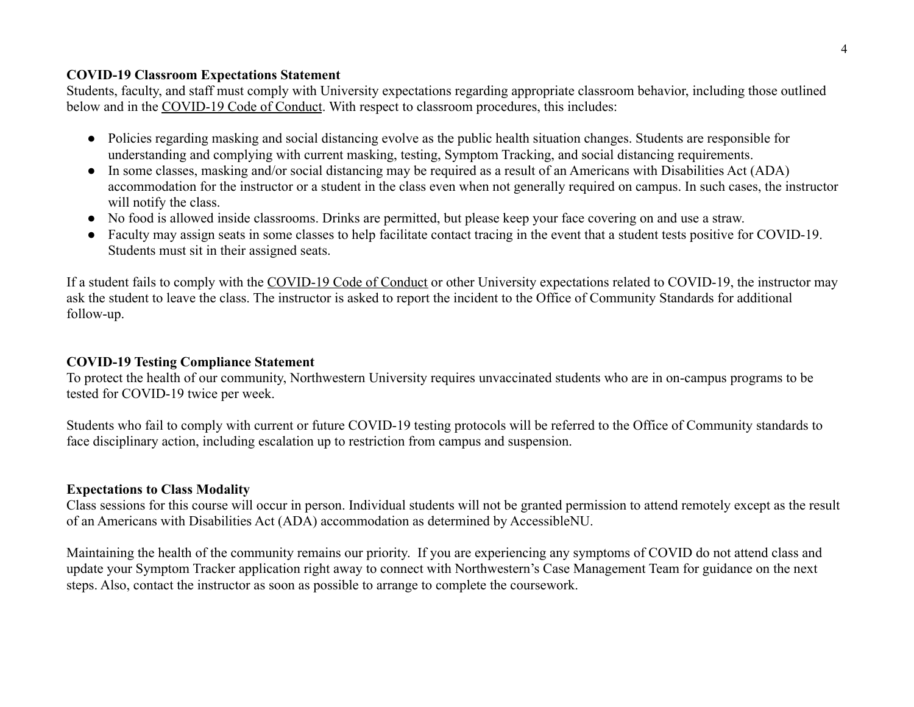## **COVID-19 Classroom Expectations Statement**

Students, faculty, and staff must comply with University expectations regarding appropriate classroom behavior, including those outlined below and in the [COVID-19 Code of Conduct](https://www.northwestern.edu/communitystandards/about-us/northwestern-university-student-expectations-covid-19-code-of-conduct.html). With respect to classroom procedures, this includes:

- Policies regarding masking and social distancing evolve as the public health situation changes. Students are responsible for understanding and complying with current masking, testing, Symptom Tracking, and social distancing requirements.
- In some classes, masking and/or social distancing may be required as a result of an Americans with Disabilities Act (ADA) accommodation for the instructor or a student in the class even when not generally required on campus. In such cases, the instructor will notify the class.
- No food is allowed inside classrooms. Drinks are permitted, but please keep your face covering on and use a straw.
- Faculty may assign seats in some classes to help facilitate contact tracing in the event that a student tests positive for COVID-19. Students must sit in their assigned seats.

If a student fails to comply with the [COVID-19 Code](https://www.northwestern.edu/communitystandards/about-us/northwestern-university-student-expectations-covid-19-code-of-conduct.html) of Conduct or other University expectations related to COVID-19, the instructor may ask the student to leave the class. The instructor is asked to report the incident to the Office of Community Standards for additional follow-up.

# **COVID-19 Testing Compliance Statement**

To protect the health of our community, Northwestern University requires unvaccinated students who are in on-campus programs to be tested for COVID-19 twice per week.

Students who fail to comply with current or future COVID-19 testing protocols will be referred to the Office of Community standards to face disciplinary action, including escalation up to restriction from campus and suspension.

# **Expectations to Class Modality**

Class sessions for this course will occur in person. Individual students will not be granted permission to attend remotely except as the result of an Americans with Disabilities Act (ADA) accommodation as determined by AccessibleNU.

Maintaining the health of the community remains our priority. If you are experiencing any symptoms of COVID do not attend class and update your Symptom Tracker application right away to connect with Northwestern's Case Management Team for guidance on the next steps. Also, contact the instructor as soon as possible to arrange to complete the coursework.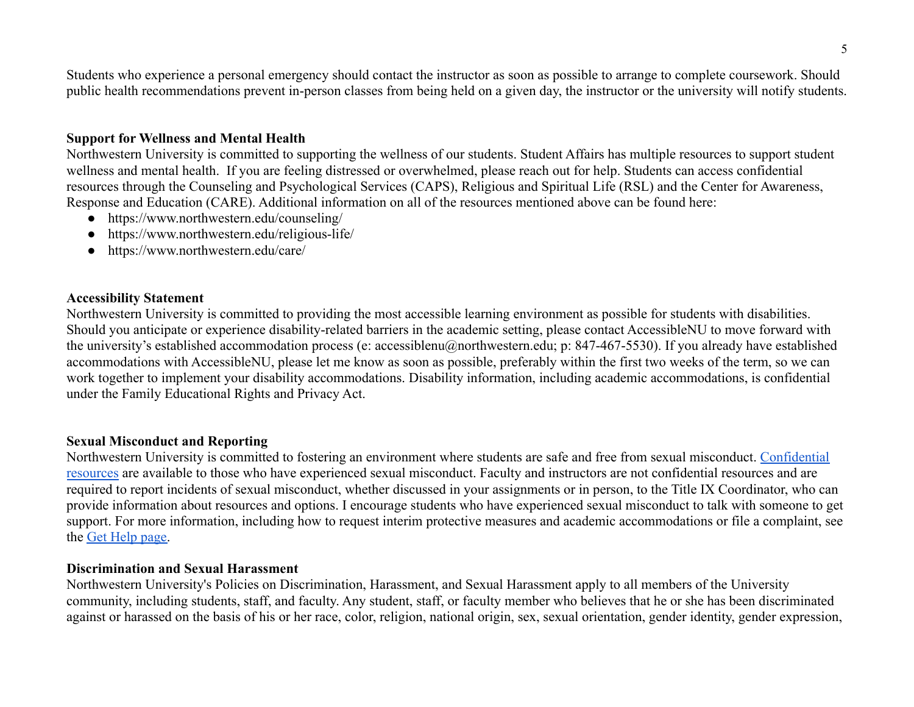Students who experience a personal emergency should contact the instructor as soon as possible to arrange to complete coursework. Should public health recommendations prevent in-person classes from being held on a given day, the instructor or the university will notify students.

## **Support for Wellness and Mental Health**

Northwestern University is committed to supporting the wellness of our students. Student Affairs has multiple resources to support student wellness and mental health. If you are feeling distressed or overwhelmed, please reach out for help. Students can access confidential resources through the Counseling and Psychological Services (CAPS), Religious and Spiritual Life (RSL) and the Center for Awareness, Response and Education (CARE). Additional information on all of the resources mentioned above can be found here:

- <https://www.northwestern.edu/counseling/>
- <https://www.northwestern.edu/religious-life/>
- <https://www.northwestern.edu/care/>

### **Accessibility Statement**

Northwestern University is committed to providing the most accessible learning environment as possible for students with disabilities. Should you anticipate or experience disability-related barriers in the academic setting, please contact AccessibleNU to move forward with the university's established accommodation process (e: accessiblenu@northwestern.edu; p: 847-467-5530). If you already have established accommodations with AccessibleNU, please let me know as soon as possible, preferably within the first two weeks of the term, so we can work together to implement your disability accommodations. Disability information, including academic accommodations, is confidential under the Family Educational Rights and Privacy Act.

#### **Sexual Misconduct and Reporting**

Northwestern University is committed to fostering an environment where students are safe and free from sexual misconduct. [Confidential](https://sexualmisconduct.princeton.edu/resources-reporting/resources) [resources](https://sexualmisconduct.princeton.edu/resources-reporting/resources) are available to those who have experienced sexual misconduct. Faculty and instructors are not confidential resources and are required to report incidents of sexual misconduct, whether discussed in your assignments or in person, to the Title IX Coordinator, who can provide information about resources and options. I encourage students who have experienced sexual misconduct to talk with someone to get support. For more information, including how to request interim protective measures and academic accommodations or file a complaint, see the [Get Help page.](https://www.northwestern.edu/sexual-misconduct/get-help/)

#### **Discrimination and Sexual Harassment**

Northwestern University's Policies on Discrimination, Harassment, and Sexual Harassment apply to all members of the University community, including students, staff, and faculty. Any student, staff, or faculty member who believes that he or she has been discriminated against or harassed on the basis of his or her race, color, religion, national origin, sex, sexual orientation, gender identity, gender expression,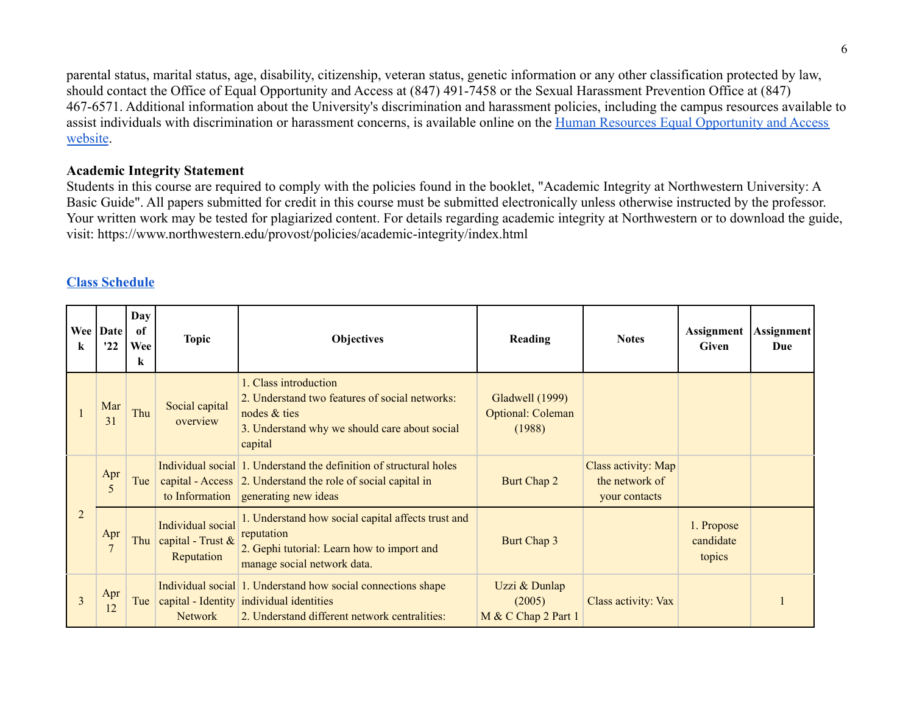parental status, marital status, age, disability, citizenship, veteran status, genetic information or any other classification protected by law, should contact the Office of Equal Opportunity and Access at (847) 491-7458 or the Sexual Harassment Prevention Office at (847) 467-6571. Additional information about the University's discrimination and harassment policies, including the campus resources available to assist individuals with discrimination or harassment concerns, is available online on the Human Resources [Equal Opportunity and Access](https://www.northwestern.edu/equity/documents/policy-on-institutional-equity.pdf) [website](https://www.northwestern.edu/equity/documents/policy-on-institutional-equity.pdf).

## **Academic Integrity Statement**

Students in this course are required to comply with the policies found in the booklet, "Academic Integrity at Northwestern University: A Basic Guide". All papers submitted for credit in this course must be submitted electronically unless otherwise instructed by the professor. Your written work may be tested for plagiarized content. For details regarding academic integrity at Northwestern or to download the guide, visit: <https://www.northwestern.edu/provost/policies/academic-integrity/index.html>

# **[Class Schedule](https://docs.google.com/spreadsheets/u/2/d/1BG0yNY-uCZVDHn1yDra2-9Xs5UCECgTcyEH4x2V62_s/edit)**

| k              | Wee Date<br>'22       | Day<br>of<br>Wee<br>k | <b>Topic</b>                                         | <b>Objectives</b>                                                                                                                                          | <b>Reading</b>                                        | <b>Notes</b>                                           | Assignment<br>Given               | Assignment<br>Due |
|----------------|-----------------------|-----------------------|------------------------------------------------------|------------------------------------------------------------------------------------------------------------------------------------------------------------|-------------------------------------------------------|--------------------------------------------------------|-----------------------------------|-------------------|
|                | Mar<br>31             | Thu                   | Social capital<br>overview                           | 1. Class introduction<br>2. Understand two features of social networks:<br>nodes & ties<br>3. Understand why we should care about social<br>capital        | Gladwell (1999)<br><b>Optional: Coleman</b><br>(1988) |                                                        |                                   |                   |
| $\overline{2}$ | Apr<br>5              | Tue                   | to Information                                       | Individual social 1. Understand the definition of structural holes<br>capital - Access 2. Understand the role of social capital in<br>generating new ideas | Burt Chap 2                                           | Class activity: Map<br>the network of<br>your contacts |                                   |                   |
|                | Apr<br>$\overline{7}$ | Thu                   | Individual social<br>capital - Trust &<br>Reputation | 1. Understand how social capital affects trust and<br>reputation<br>2. Gephi tutorial: Learn how to import and<br>manage social network data.              | Burt Chap 3                                           |                                                        | 1. Propose<br>candidate<br>topics |                   |
| 3              | Apr<br>12             | Tue                   | <b>Network</b>                                       | Individual social 1. Understand how social connections shape<br>capital - Identity individual identities<br>2. Understand different network centralities:  | Uzzi & Dunlap<br>(2005)<br>M & C Chap 2 Part 1        | Class activity: Vax                                    |                                   |                   |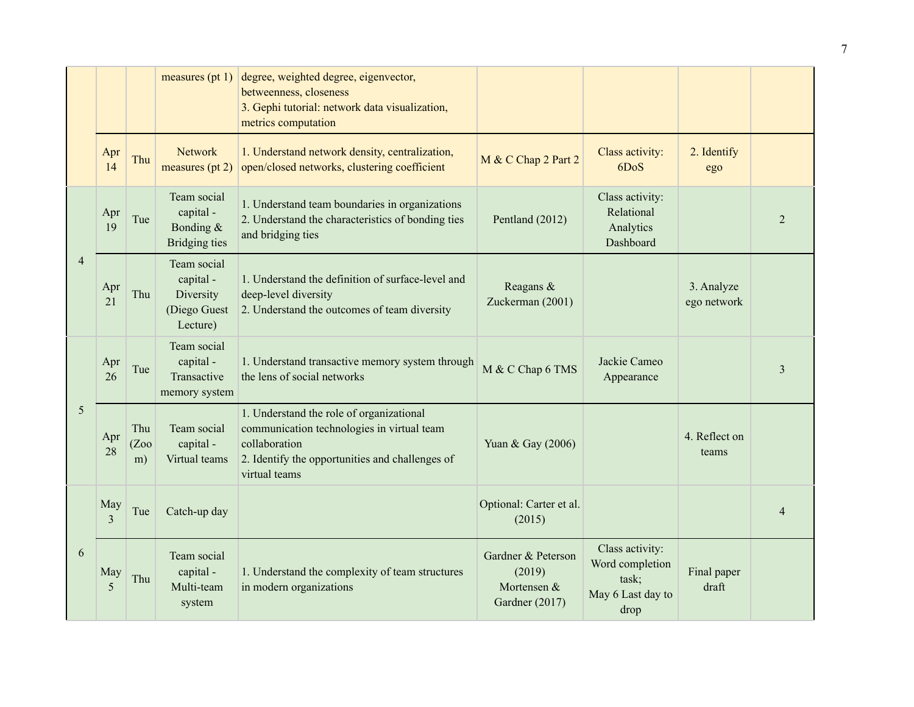|                |                       |                   | measures $(pt 1)$                                                 | degree, weighted degree, eigenvector,<br>betweenness, closeness<br>3. Gephi tutorial: network data visualization,<br>metrics computation                                    |                                                               |                                                                          |                           |                |
|----------------|-----------------------|-------------------|-------------------------------------------------------------------|-----------------------------------------------------------------------------------------------------------------------------------------------------------------------------|---------------------------------------------------------------|--------------------------------------------------------------------------|---------------------------|----------------|
|                | Apr<br>14             | Thu               | <b>Network</b><br>measures $(pt 2)$                               | 1. Understand network density, centralization,<br>open/closed networks, clustering coefficient                                                                              | M & C Chap 2 Part 2                                           | Class activity:<br>6DoS                                                  | 2. Identify<br>ego        |                |
| $\overline{4}$ | Apr<br>19             | Tue               | Team social<br>capital -<br>Bonding $&$<br><b>Bridging ties</b>   | 1. Understand team boundaries in organizations<br>2. Understand the characteristics of bonding ties<br>and bridging ties                                                    | Pentland (2012)                                               | Class activity:<br>Relational<br>Analytics<br>Dashboard                  |                           | 2              |
|                | Apr<br>21             | Thu               | Team social<br>capital -<br>Diversity<br>(Diego Guest<br>Lecture) | 1. Understand the definition of surface-level and<br>deep-level diversity<br>2. Understand the outcomes of team diversity                                                   | Reagans &<br>Zuckerman (2001)                                 |                                                                          | 3. Analyze<br>ego network |                |
| 5              | Apr<br>26             | Tue               | Team social<br>capital -<br>Transactive<br>memory system          | 1. Understand transactive memory system through<br>the lens of social networks                                                                                              | M & C Chap 6 TMS                                              | Jackie Cameo<br>Appearance                                               |                           | 3              |
|                | Apr<br>28             | Thu<br>(Zoo<br>m) | Team social<br>capital -<br>Virtual teams                         | 1. Understand the role of organizational<br>communication technologies in virtual team<br>collaboration<br>2. Identify the opportunities and challenges of<br>virtual teams | Yuan & Gay (2006)                                             |                                                                          | 4. Reflect on<br>teams    |                |
| 6              | May<br>$\overline{3}$ | Tue               | Catch-up day                                                      |                                                                                                                                                                             | Optional: Carter et al.<br>(2015)                             |                                                                          |                           | $\overline{4}$ |
|                | May<br>5              | Thu               | Team social<br>capital -<br>Multi-team<br>system                  | 1. Understand the complexity of team structures<br>in modern organizations                                                                                                  | Gardner & Peterson<br>(2019)<br>Mortensen &<br>Gardner (2017) | Class activity:<br>Word completion<br>task;<br>May 6 Last day to<br>drop | Final paper<br>draft      |                |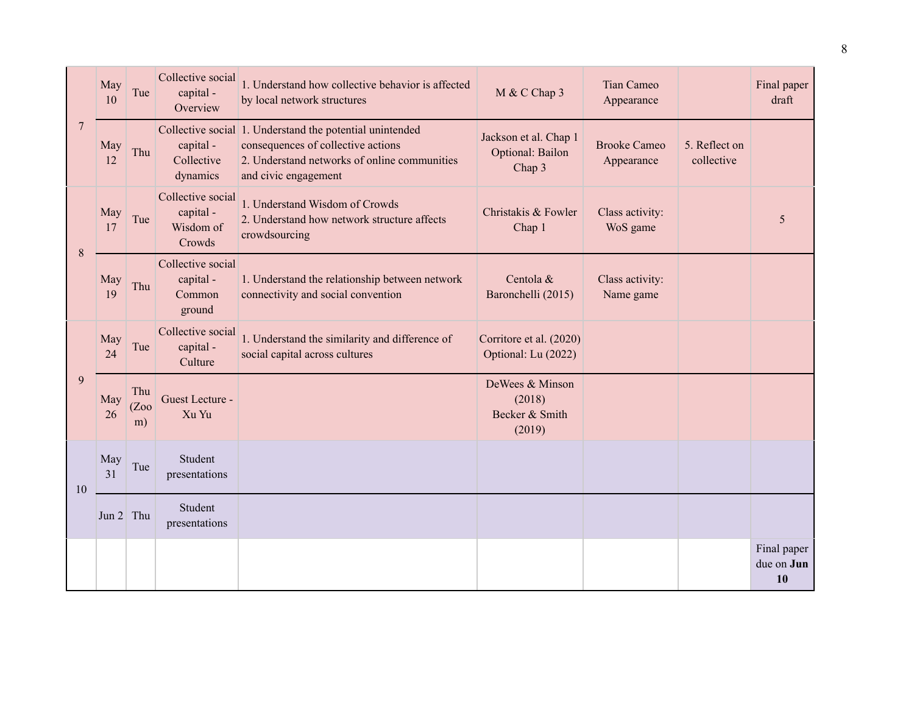| 7  | May<br>10   | Tue               | Collective social<br>capital -<br>Overview            | 1. Understand how collective behavior is affected<br>by local network structures                                                                                       | M & C Chap 3                                          | <b>Tian Cameo</b><br>Appearance   |                             | Final paper<br>draft            |
|----|-------------|-------------------|-------------------------------------------------------|------------------------------------------------------------------------------------------------------------------------------------------------------------------------|-------------------------------------------------------|-----------------------------------|-----------------------------|---------------------------------|
|    | May<br>12   | Thu               | capital -<br>Collective<br>dynamics                   | Collective social 1. Understand the potential unintended<br>consequences of collective actions<br>2. Understand networks of online communities<br>and civic engagement | Jackson et al. Chap 1<br>Optional: Bailon<br>Chap 3   | <b>Brooke Cameo</b><br>Appearance | 5. Reflect on<br>collective |                                 |
| 8  | May<br>17   | Tue               | Collective social<br>capital -<br>Wisdom of<br>Crowds | 1. Understand Wisdom of Crowds<br>2. Understand how network structure affects<br>crowdsourcing                                                                         | Christakis & Fowler<br>Chap 1                         | Class activity:<br>WoS game       |                             | 5                               |
|    | May<br>19   | Thu               | Collective social<br>capital -<br>Common<br>ground    | 1. Understand the relationship between network<br>connectivity and social convention                                                                                   | Centola &<br>Baronchelli (2015)                       | Class activity:<br>Name game      |                             |                                 |
| 9  | May<br>24   | Tue               | Collective social<br>capital -<br>Culture             | 1. Understand the similarity and difference of<br>social capital across cultures                                                                                       | Corritore et al. (2020)<br>Optional: Lu (2022)        |                                   |                             |                                 |
|    | May<br>26   | Thu<br>(Zoo<br>m) | Guest Lecture -<br>Xu Yu                              |                                                                                                                                                                        | DeWees & Minson<br>(2018)<br>Becker & Smith<br>(2019) |                                   |                             |                                 |
| 10 | May<br>31   | Tue               | Student<br>presentations                              |                                                                                                                                                                        |                                                       |                                   |                             |                                 |
|    | Jun $2$ Thu |                   | Student<br>presentations                              |                                                                                                                                                                        |                                                       |                                   |                             |                                 |
|    |             |                   |                                                       |                                                                                                                                                                        |                                                       |                                   |                             | Final paper<br>due on Jun<br>10 |